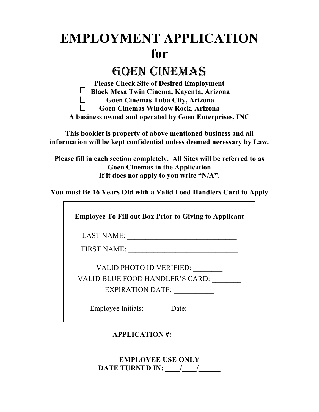# **EMPLOYMENT APPLICATION for**

## GOEN CINEMAS

**Please Check Site of Desired Employment Black Mesa Twin Cinema, Kayenta, Arizona Goen Cinemas Tuba City, Arizona**   $\Box$  $\Box$ **Goen Cinemas Window Rock, Arizona A business owned and operated by Goen Enterprises, INC** 

**This booklet is property of above mentioned business and all information will be kept confidential unless deemed necessary by Law.** 

**Please fill in each section completely. All Sites will be referred to as Goen Cinemas in the Application If it does not apply to you write "N/A".** 

**You must Be 16 Years Old with a Valid Food Handlers Card to Apply** 

**Employee To Fill out Box Prior to Giving to Applicant** 

LAST NAME: \_\_\_\_\_\_\_\_\_\_\_\_\_\_\_\_\_\_\_\_\_\_\_\_\_\_\_\_\_\_

FIRST NAME: \_\_\_\_\_\_\_\_\_\_\_\_\_\_\_\_\_\_\_\_\_\_\_\_\_\_\_\_\_\_

VALID PHOTO ID VERIFIED: \_\_\_\_\_\_\_\_ VALID BLUE FOOD HANDLER'S CARD: \_\_\_\_\_\_\_\_

EXPIRATION DATE:

Employee Initials: Date:

**APPLICATION #: \_\_\_\_\_\_\_\_\_** 

**EMPLOYEE USE ONLY DATE TURNED IN: \_\_\_\_/\_\_\_\_/\_\_\_\_\_\_**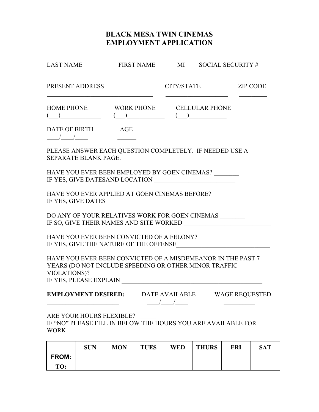### **BLACK MESA TWIN CINEMAS EMPLOYMENT APPLICATION**

| <b>LAST NAME</b>                                                                                                                                                                                                                                                                                                                                                                                           | <b>FIRST NAME</b> | MI                                                                                                                                                                                                                                                                                                                                                                                                                                                     | SOCIAL SECURITY # |                 |
|------------------------------------------------------------------------------------------------------------------------------------------------------------------------------------------------------------------------------------------------------------------------------------------------------------------------------------------------------------------------------------------------------------|-------------------|--------------------------------------------------------------------------------------------------------------------------------------------------------------------------------------------------------------------------------------------------------------------------------------------------------------------------------------------------------------------------------------------------------------------------------------------------------|-------------------|-----------------|
| PRESENT ADDRESS                                                                                                                                                                                                                                                                                                                                                                                            |                   | CITY/STATE                                                                                                                                                                                                                                                                                                                                                                                                                                             |                   | <b>ZIP CODE</b> |
| HOME PHONE WORK PHONE CELLULAR PHONE<br>$\begin{picture}(150,10) \put(0,0){\vector(1,0){100}} \put(15,0){\vector(1,0){100}} \put(15,0){\vector(1,0){100}} \put(15,0){\vector(1,0){100}} \put(15,0){\vector(1,0){100}} \put(15,0){\vector(1,0){100}} \put(15,0){\vector(1,0){100}} \put(15,0){\vector(1,0){100}} \put(15,0){\vector(1,0){100}} \put(15,0){\vector(1,0){100}} \put(15,0){\vector(1,0){100}}$ |                   |                                                                                                                                                                                                                                                                                                                                                                                                                                                        |                   |                 |
| DATE OF BIRTH AGE<br>$\frac{1}{\sqrt{2\pi}}$                                                                                                                                                                                                                                                                                                                                                               |                   |                                                                                                                                                                                                                                                                                                                                                                                                                                                        |                   |                 |
| PLEASE ANSWER EACH QUESTION COMPLETELY. IF NEEDED USE A<br>SEPARATE BLANK PAGE.                                                                                                                                                                                                                                                                                                                            |                   |                                                                                                                                                                                                                                                                                                                                                                                                                                                        |                   |                 |
| HAVE YOU EVER BEEN EMPLOYED BY GOEN CINEMAS?<br>IF YES, GIVE DATESAND LOCATION                                                                                                                                                                                                                                                                                                                             |                   |                                                                                                                                                                                                                                                                                                                                                                                                                                                        |                   |                 |
| HAVE YOU EVER APPLIED AT GOEN CINEMAS BEFORE?                                                                                                                                                                                                                                                                                                                                                              |                   |                                                                                                                                                                                                                                                                                                                                                                                                                                                        |                   |                 |
| DO ANY OF YOUR RELATIVES WORK FOR GOEN CINEMAS                                                                                                                                                                                                                                                                                                                                                             |                   |                                                                                                                                                                                                                                                                                                                                                                                                                                                        |                   |                 |
| HAVE YOU EVER BEEN CONVICTED OF A FELONY? _____________<br>IF YES, GIVE THE NATURE OF THE OFFENSE                                                                                                                                                                                                                                                                                                          |                   |                                                                                                                                                                                                                                                                                                                                                                                                                                                        |                   |                 |
| HAVE YOU EVER BEEN CONVICTED OF A MISDEMEANOR IN THE PAST 7<br>YEARS (DO NOT INCLUDE SPEEDING OR OTHER MINOR TRAFFIC<br>VIOLATIONS)?<br>IF YES, PLEASE EXPLAIN                                                                                                                                                                                                                                             |                   |                                                                                                                                                                                                                                                                                                                                                                                                                                                        |                   |                 |
| <b>EMPLOYMENT DESIRED:</b>                                                                                                                                                                                                                                                                                                                                                                                 |                   | DATE AVAILABLE WAGE REQUESTED<br>$\frac{1}{\frac{1}{1-\frac{1}{1-\frac{1}{1-\frac{1}{1-\frac{1}{1-\frac{1}{1-\frac{1}{1-\frac{1}{1-\frac{1}{1-\frac{1}{1-\frac{1}{1-\frac{1}{1-\frac{1}{1-\frac{1}{1-\frac{1}{1-\frac{1}{1-\frac{1}{1-\frac{1}{1-\frac{1}{1-\frac{1}{1-\frac{1}{1-\frac{1}{1-\frac{1}{1-\frac{1}{1-\frac{1}{1-\frac{1}{1-\frac{1}{1-\frac{1}{1-\frac{1}{1-\frac{1}{1-\frac{1}{1-\frac{1}{1-\frac{1}{1-\frac{1}{1-\frac{1}{1-\frac{1}{$ |                   |                 |
| ARE YOUR HOURS FLEXIBLE?<br>IF "NO" PLEASE FILL IN BELOW THE HOURS YOU ARE AVAILABLE FOR<br><b>WORK</b>                                                                                                                                                                                                                                                                                                    |                   |                                                                                                                                                                                                                                                                                                                                                                                                                                                        |                   |                 |

|       | <b>SUN</b> | <b>MON</b> | <b>TUES</b> | <b>WED</b> | <b>THURS</b> | FRI | SAT |
|-------|------------|------------|-------------|------------|--------------|-----|-----|
| FROM: |            |            |             |            |              |     |     |
| TO:   |            |            |             |            |              |     |     |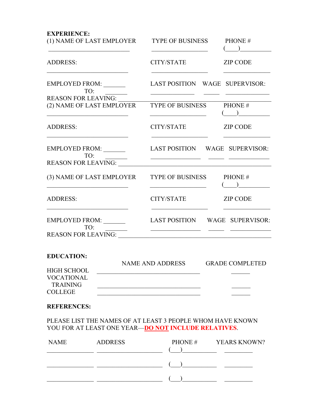| <b>EXPERIENCE:</b>            |                                             |                                |
|-------------------------------|---------------------------------------------|--------------------------------|
| (1) NAME OF LAST EMPLOYER     | TYPE OF BUSINESS                            | PHONE#<br>$($ $)$              |
| <b>ADDRESS:</b>               | CITY/STATE                                  | <b>ZIP CODE</b>                |
| EMPLOYED FROM:<br>TO:         |                                             | LAST POSITION WAGE SUPERVISOR: |
| <b>REASON FOR LEAVING:</b>    |                                             |                                |
| (2) NAME OF LAST EMPLOYER     | TYPE OF BUSINESS PHONE #                    | $($ ) $)$                      |
| <b>ADDRESS:</b>               | CITY/STATE                                  | ZIP CODE                       |
| EMPLOYED FROM: _______<br>TO: |                                             | LAST POSITION WAGE SUPERVISOR: |
| <b>REASON FOR LEAVING:</b>    |                                             |                                |
| (3) NAME OF LAST EMPLOYER     | TYPE OF BUSINESS PHONE #                    | ) $\overline{\phantom{a}}$     |
| <b>ADDRESS:</b>               | CITY/STATE ZIP CODE                         |                                |
| EMPLOYED FROM: _______<br>TO: | <u> 1989 - Jan Samuel Barbara, martin d</u> | LAST POSITION WAGE SUPERVISOR: |
| REASON FOR LEAVING:           |                                             |                                |
| <b>EDUCATION:</b>             |                                             |                                |
|                               | NAME AND ADDRESS GRADE COMPLETED            |                                |
| <b>HIGH SCHOOL</b>            |                                             |                                |
| <b>VOCATIONAL</b>             |                                             |                                |
| <b>TRAINING</b>               |                                             |                                |
| <b>COLLEGE</b>                |                                             |                                |

#### **REFERENCES:**

PLEASE LIST THE NAMES OF AT LEAST 3 PEOPLE WHOM HAVE KNOWN YOU FOR AT LEAST ONE YEAR—**DO NOT INCLUDE RELATIVES**.

| <b>NAME</b> | <b>ADDRESS</b> | PHONE# | <b>YEARS KNOWN?</b> |
|-------------|----------------|--------|---------------------|
|             |                |        |                     |
|             |                |        |                     |
|             |                |        |                     |